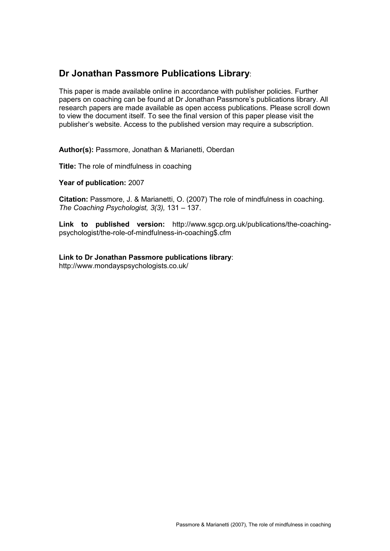# **Dr Jonathan Passmore Publications Library**:

This paper is made available online in accordance with publisher policies. Further papers on coaching can be found at Dr Jonathan Passmore"s publications library. All research papers are made available as open access publications. Please scroll down to view the document itself. To see the final version of this paper please visit the publisher"s website. Access to the published version may require a subscription.

Author(s): Passmore, Jonathan & Marianetti, Oberdan

**Title:** The role of mindfulness in coaching

**Year of publication:** 2007

**Citation:** Passmore, J. & Marianetti, O. (2007) The role of mindfulness in coaching*. The Coaching Psychologist, 3(3),* 131 – 137.

**Link to published version:** http://www.sgcp.org.uk/publications/the-coachingpsychologist/the-role-of-mindfulness-in-coaching\$.cfm

**Link to Dr Jonathan Passmore publications library**: http://www.mondayspsychologists.co.uk/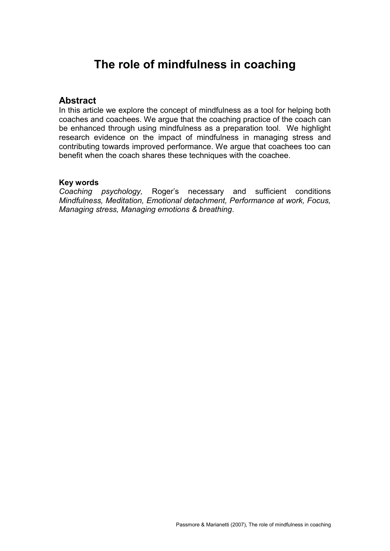# **The role of mindfulness in coaching**

### **Abstract**

In this article we explore the concept of mindfulness as a tool for helping both coaches and coachees. We argue that the coaching practice of the coach can be enhanced through using mindfulness as a preparation tool. We highlight research evidence on the impact of mindfulness in managing stress and contributing towards improved performance. We argue that coachees too can benefit when the coach shares these techniques with the coachee.

#### **Key words**

*Coaching psychology,* Roger"s necessary and sufficient conditions *Mindfulness, Meditation, Emotional detachment, Performance at work, Focus, Managing stress, Managing emotions & breathing*.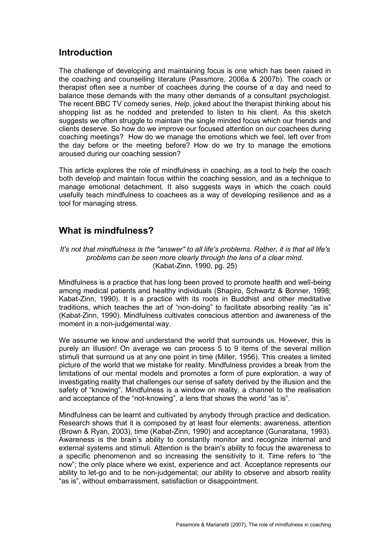## **Introduction**

The challenge of developing and maintaining focus is one which has been raised in the coaching and counselling literature (Passmore, 2006a & 2007b). The coach or therapist often see a number of coachees during the course of a day and need to balance these demands with the many other demands of a consultant psychologist. The recent BBC TV comedy series, *Help*, joked about the therapist thinking about his shopping list as he nodded and pretended to listen to his client. As this sketch suggests we often struggle to maintain the single minded focus which our friends and clients deserve. So how do we improve our focused attention on our coachees during coaching meetings? How do we manage the emotions which we feel, left over from the day before or the meeting before? How do we try to manage the emotions aroused during our coaching session?

This article explores the role of mindfulness in coaching, as a tool to help the coach both develop and maintain focus within the coaching session, and as a technique to manage emotional detachment. It also suggests ways in which the coach could usefully teach mindfulness to coachees as a way of developing resilience and as a tool for managing stress.

# **What is mindfulness?**

It's not that mindfulness is the "answer" to all life's problems. Rather, it is that all life's *problems can be seen more clearly through the lens of a clear mind.* (Kabat-Zinn, 1990, pg. 25)

Mindfulness is a practice that has long been proved to promote health and well-being among medical patients and healthy individuals (Shapiro, Schwartz & Bonner, 1998; Kabat-Zinn, 1990). It is a practice with its roots in Buddhist and other meditative traditions, which teaches the art of "non-doing" to facilitate absorbing reality "as is" (Kabat-Zinn, 1990). Mindfulness cultivates conscious attention and awareness of the moment in a non-judgemental way.

We assume we know and understand the world that surrounds us. However, this is purely an illusion! On average we can process 5 to 9 items of the several million stimuli that surround us at any one point in time (Miller, 1956). This creates a limited picture of the world that we mistake for reality. Mindfulness provides a break from the limitations of our mental models and promotes a form of pure exploration, a way of investigating reality that challenges our sense of safety derived by the illusion and the safety of "knowing". Mindfulness is a window on reality, a channel to the realisation and acceptance of the "not-knowing", a lens that shows the world "as is".

Mindfulness can be learnt and cultivated by anybody through practice and dedication. Research shows that it is composed by at least four elements: awareness, attention (Brown & Ryan, 2003), time (Kabat-Zinn, 1990) and acceptance (Gunaratana, 1993). Awareness is the brain"s ability to constantly monitor and recognize internal and external systems and stimuli. Attention is the brain"s ability to focus the awareness to a specific phenomenon and so increasing the sensitivity to it. Time refers to "the now"; the only place where we exist, experience and act. Acceptance represents our ability to let-go and to be non-judgemental; our ability to observe and absorb reality "as is", without embarrassment, satisfaction or disappointment.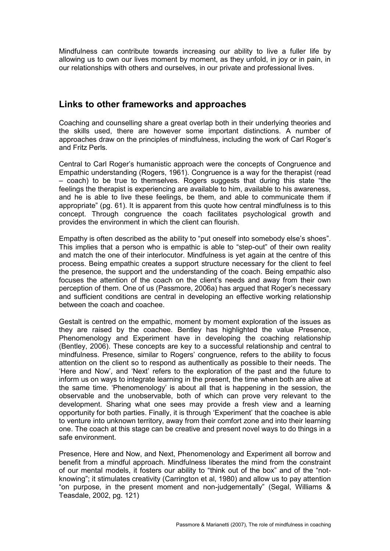Mindfulness can contribute towards increasing our ability to live a fuller life by allowing us to own our lives moment by moment, as they unfold, in joy or in pain, in our relationships with others and ourselves, in our private and professional lives.

### **Links to other frameworks and approaches**

Coaching and counselling share a great overlap both in their underlying theories and the skills used, there are however some important distinctions. A number of approaches draw on the principles of mindfulness, including the work of Carl Roger"s and Fritz Perls.

Central to Carl Roger"s humanistic approach were the concepts of Congruence and Empathic understanding (Rogers, 1961). Congruence is a way for the therapist (read – coach) to be true to themselves. Rogers suggests that during this state "the feelings the therapist is experiencing are available to him, available to his awareness, and he is able to live these feelings, be them, and able to communicate them if appropriate" (pg. 61). It is apparent from this quote how central mindfulness is to this concept. Through congruence the coach facilitates psychological growth and provides the environment in which the client can flourish.

Empathy is often described as the ability to "put oneself into somebody else's shoes". This implies that a person who is empathic is able to "step-out" of their own reality and match the one of their interlocutor. Mindfulness is yet again at the centre of this process. Being empathic creates a support structure necessary for the client to feel the presence, the support and the understanding of the coach. Being empathic also focuses the attention of the coach on the client"s needs and away from their own perception of them. One of us (Passmore, 2006a) has argued that Roger"s necessary and sufficient conditions are central in developing an effective working relationship between the coach and coachee.

Gestalt is centred on the empathic, moment by moment exploration of the issues as they are raised by the coachee. Bentley has highlighted the value Presence, Phenomenology and Experiment have in developing the coaching relationship (Bentley, 2006). These concepts are key to a successful relationship and central to mindfulness. Presence, similar to Rogers" congruence, refers to the ability to focus attention on the client so to respond as authentically as possible to their needs. The "Here and Now", and "Next" refers to the exploration of the past and the future to inform us on ways to integrate learning in the present, the time when both are alive at the same time. "Phenomenology" is about all that is happening in the session, the observable and the unobservable, both of which can prove very relevant to the development. Sharing what one sees may provide a fresh view and a learning opportunity for both parties. Finally, it is through "Experiment" that the coachee is able to venture into unknown territory, away from their comfort zone and into their learning one. The coach at this stage can be creative and present novel ways to do things in a safe environment.

Presence, Here and Now, and Next, Phenomenology and Experiment all borrow and benefit from a mindful approach. Mindfulness liberates the mind from the constraint of our mental models, it fosters our ability to "think out of the box" and of the "notknowing"; it stimulates creativity (Carrington et al, 1980) and allow us to pay attention "on purpose, in the present moment and non-judgementally" (Segal, Williams & Teasdale, 2002, pg. 121)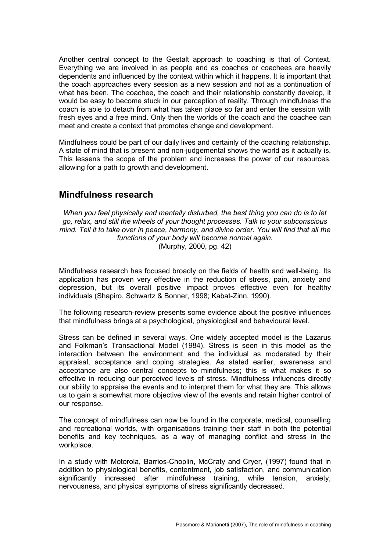Another central concept to the Gestalt approach to coaching is that of Context. Everything we are involved in as people and as coaches or coachees are heavily dependents and influenced by the context within which it happens. It is important that the coach approaches every session as a new session and not as a continuation of what has been. The coachee, the coach and their relationship constantly develop, it would be easy to become stuck in our perception of reality. Through mindfulness the coach is able to detach from what has taken place so far and enter the session with fresh eyes and a free mind. Only then the worlds of the coach and the coachee can meet and create a context that promotes change and development.

Mindfulness could be part of our daily lives and certainly of the coaching relationship. A state of mind that is present and non-judgemental shows the world as it actually is. This lessens the scope of the problem and increases the power of our resources, allowing for a path to growth and development.

### **Mindfulness research**

*When you feel physically and mentally disturbed, the best thing you can do is to let go, relax, and still the wheels of your thought processes. Talk to your subconscious mind. Tell it to take over in peace, harmony, and divine order. You will find that all the functions of your body will become normal again.* (Murphy, 2000, pg. 42)

Mindfulness research has focused broadly on the fields of health and well-being. Its application has proven very effective in the reduction of stress, pain, anxiety and depression, but its overall positive impact proves effective even for healthy individuals (Shapiro, Schwartz & Bonner, 1998; Kabat-Zinn, 1990).

The following research-review presents some evidence about the positive influences that mindfulness brings at a psychological, physiological and behavioural level.

Stress can be defined in several ways. One widely accepted model is the Lazarus and Folkman"s Transactional Model (1984). Stress is seen in this model as the interaction between the environment and the individual as moderated by their appraisal, acceptance and coping strategies. As stated earlier, awareness and acceptance are also central concepts to mindfulness; this is what makes it so effective in reducing our perceived levels of stress. Mindfulness influences directly our ability to appraise the events and to interpret them for what they are. This allows us to gain a somewhat more objective view of the events and retain higher control of our response.

The concept of mindfulness can now be found in the corporate, medical, counselling and recreational worlds, with organisations training their staff in both the potential benefits and key techniques, as a way of managing conflict and stress in the workplace.

In a study with Motorola, Barrios-Choplin, McCraty and Cryer, (1997) found that in addition to physiological benefits, contentment, job satisfaction, and communication significantly increased after mindfulness training, while tension, anxiety, nervousness, and physical symptoms of stress significantly decreased.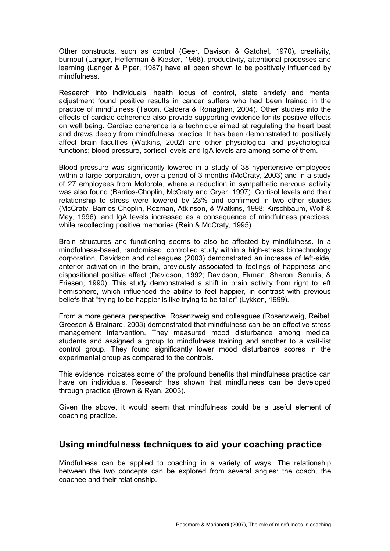Other constructs, such as control (Geer, Davison & Gatchel, 1970), creativity, burnout (Langer, Hefferman & Kiester, 1988), productivity, attentional processes and learning (Langer & Piper, 1987) have all been shown to be positively influenced by mindfulness.

Research into individuals" health locus of control, state anxiety and mental adjustment found positive results in cancer suffers who had been trained in the practice of mindfulness (Tacon, Caldera & Ronaghan, 2004). Other studies into the effects of cardiac coherence also provide supporting evidence for its positive effects on well being. Cardiac coherence is a technique aimed at regulating the heart beat and draws deeply from mindfulness practice. It has been demonstrated to positively affect brain faculties (Watkins, 2002) and other physiological and psychological functions; blood pressure, cortisol levels and IgA levels are among some of them.

Blood pressure was significantly lowered in a study of 38 hypertensive employees within a large corporation, over a period of 3 months (McCraty, 2003) and in a study of 27 employees from Motorola, where a reduction in sympathetic nervous activity was also found (Barrios-Choplin, McCraty and Cryer, 1997). Cortisol levels and their relationship to stress were lowered by 23% and confirmed in two other studies (McCraty, Barrios-Choplin, Rozman, Atkinson, & Watkins, 1998; Kirschbaum, Wolf & May, 1996); and IgA levels increased as a consequence of mindfulness practices, while recollecting positive memories (Rein & McCraty, 1995).

Brain structures and functioning seems to also be affected by mindfulness. In a mindfulness-based, randomised, controlled study within a high-stress biotechnology corporation, Davidson and colleagues (2003) demonstrated an increase of left-side, anterior activation in the brain, previously associated to feelings of happiness and dispositional positive affect (Davidson, 1992; Davidson, Ekman, Sharon, Senulis, & Friesen, 1990). This study demonstrated a shift in brain activity from right to left hemisphere, which influenced the ability to feel happier, in contrast with previous beliefs that "trying to be happier is like trying to be taller" (Lykken, 1999).

From a more general perspective, Rosenzweig and colleagues (Rosenzweig, Reibel, Greeson & Brainard, 2003) demonstrated that mindfulness can be an effective stress management intervention. They measured mood disturbance among medical students and assigned a group to mindfulness training and another to a wait-list control group. They found significantly lower mood disturbance scores in the experimental group as compared to the controls.

This evidence indicates some of the profound benefits that mindfulness practice can have on individuals. Research has shown that mindfulness can be developed through practice (Brown & Ryan, 2003).

Given the above, it would seem that mindfulness could be a useful element of coaching practice.

### **Using mindfulness techniques to aid your coaching practice**

Mindfulness can be applied to coaching in a variety of ways. The relationship between the two concepts can be explored from several angles: the coach, the coachee and their relationship.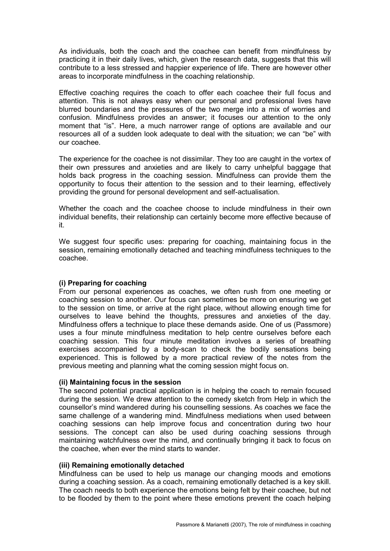As individuals, both the coach and the coachee can benefit from mindfulness by practicing it in their daily lives, which, given the research data, suggests that this will contribute to a less stressed and happier experience of life. There are however other areas to incorporate mindfulness in the coaching relationship.

Effective coaching requires the coach to offer each coachee their full focus and attention. This is not always easy when our personal and professional lives have blurred boundaries and the pressures of the two merge into a mix of worries and confusion. Mindfulness provides an answer; it focuses our attention to the only moment that "is". Here, a much narrower range of options are available and our resources all of a sudden look adequate to deal with the situation; we can "be" with our coachee.

The experience for the coachee is not dissimilar. They too are caught in the vortex of their own pressures and anxieties and are likely to carry unhelpful baggage that holds back progress in the coaching session. Mindfulness can provide them the opportunity to focus their attention to the session and to their learning, effectively providing the ground for personal development and self-actualisation.

Whether the coach and the coachee choose to include mindfulness in their own individual benefits, their relationship can certainly become more effective because of it.

We suggest four specific uses: preparing for coaching, maintaining focus in the session, remaining emotionally detached and teaching mindfulness techniques to the coachee.

#### **(i) Preparing for coaching**

From our personal experiences as coaches, we often rush from one meeting or coaching session to another. Our focus can sometimes be more on ensuring we get to the session on time, or arrive at the right place, without allowing enough time for ourselves to leave behind the thoughts, pressures and anxieties of the day. Mindfulness offers a technique to place these demands aside. One of us (Passmore) uses a four minute mindfulness meditation to help centre ourselves before each coaching session. This four minute meditation involves a series of breathing exercises accompanied by a body-scan to check the bodily sensations being experienced. This is followed by a more practical review of the notes from the previous meeting and planning what the coming session might focus on.

#### **(ii) Maintaining focus in the session**

The second potential practical application is in helping the coach to remain focused during the session. We drew attention to the comedy sketch from Help in which the counsellor"s mind wandered during his counselling sessions. As coaches we face the same challenge of a wandering mind. Mindfulness mediations when used between coaching sessions can help improve focus and concentration during two hour sessions. The concept can also be used during coaching sessions through maintaining watchfulness over the mind, and continually bringing it back to focus on the coachee, when ever the mind starts to wander.

#### **(iii) Remaining emotionally detached**

Mindfulness can be used to help us manage our changing moods and emotions during a coaching session. As a coach, remaining emotionally detached is a key skill. The coach needs to both experience the emotions being felt by their coachee, but not to be flooded by them to the point where these emotions prevent the coach helping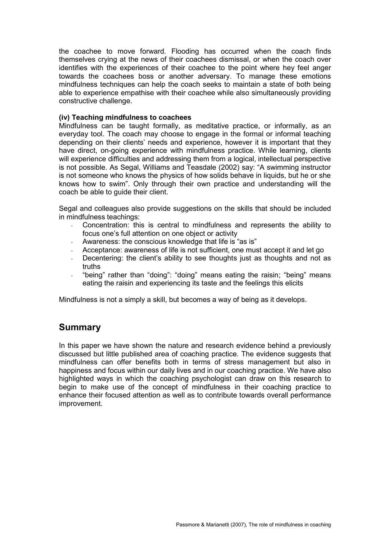the coachee to move forward. Flooding has occurred when the coach finds themselves crying at the news of their coachees dismissal, or when the coach over identifies with the experiences of their coachee to the point where hey feel anger towards the coachees boss or another adversary. To manage these emotions mindfulness techniques can help the coach seeks to maintain a state of both being able to experience empathise with their coachee while also simultaneously providing constructive challenge.

#### **(iv) Teaching mindfulness to coachees**

Mindfulness can be taught formally, as meditative practice, or informally, as an everyday tool. The coach may choose to engage in the formal or informal teaching depending on their clients" needs and experience, however it is important that they have direct, on-going experience with mindfulness practice. While learning, clients will experience difficulties and addressing them from a logical, intellectual perspective is not possible. As Segal, Williams and Teasdale (2002) say: "A swimming instructor is not someone who knows the physics of how solids behave in liquids, but he or she knows how to swim". Only through their own practice and understanding will the coach be able to guide their client.

Segal and colleagues also provide suggestions on the skills that should be included in mindfulness teachings:

- Concentration: this is central to mindfulness and represents the ability to focus one"s full attention on one object or activity
- Awareness: the conscious knowledge that life is "as is"
- Acceptance: awareness of life is not sufficient, one must accept it and let go
- Decentering: the client's ability to see thoughts just as thoughts and not as truths
- "being" rather than "doing": "doing" means eating the raisin; "being" means eating the raisin and experiencing its taste and the feelings this elicits

Mindfulness is not a simply a skill, but becomes a way of being as it develops.

### **Summary**

In this paper we have shown the nature and research evidence behind a previously discussed but little published area of coaching practice. The evidence suggests that mindfulness can offer benefits both in terms of stress management but also in happiness and focus within our daily lives and in our coaching practice. We have also highlighted ways in which the coaching psychologist can draw on this research to begin to make use of the concept of mindfulness in their coaching practice to enhance their focused attention as well as to contribute towards overall performance improvement.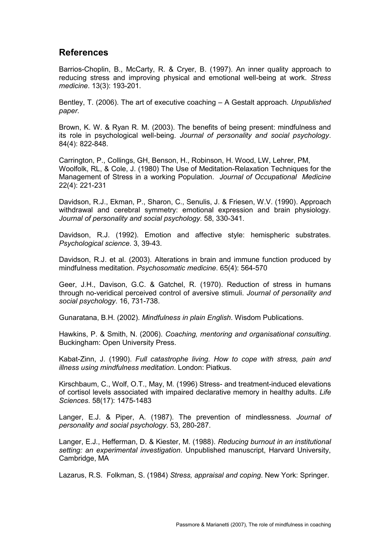### **References**

Barrios-Choplin, B., McCarty, R. & Cryer, B. (1997). An inner quality approach to reducing stress and improving physical and emotional well-being at work. *Stress medicine*. 13(3): 193-201.

Bentley, T. (2006). The art of executive coaching – A Gestalt approach. *Unpublished paper.* 

Brown, K. W. & Ryan R. M. (2003). The benefits of being present: mindfulness and its role in psychological well-being. *Journal of personality and social psychology*. 84(4): 822-848.

Carrington, P., Collings, GH, Benson, H., Robinson, H. Wood, LW, Lehrer, PM, Woolfolk, RL, & Cole, J. (1980) The Use of Meditation-Relaxation Techniques for the Management of Stress in a working Population. *Journal of Occupational Medicine* 22(4): 221-231

Davidson, R.J., Ekman, P., Sharon, C., Senulis, J. & Friesen, W.V. (1990). Approach withdrawal and cerebral symmetry: emotional expression and brain physiology. *Journal of personality and social psychology*. 58, 330-341.

Davidson, R.J. (1992). Emotion and affective style: hemispheric substrates. *Psychological science*. 3, 39-43.

Davidson, R.J. et al. (2003). Alterations in brain and immune function produced by mindfulness meditation. *Psychosomatic medicine*. 65(4): 564-570

Geer, J.H., Davison, G.C. & Gatchel, R. (1970). Reduction of stress in humans through no-veridical perceived control of aversive stimuli. *Journal of personality and social psychology*. 16, 731-738.

Gunaratana, B.H. (2002). *Mindfulness in plain English*. Wisdom Publications.

Hawkins, P. & Smith, N. (2006). *Coaching, mentoring and organisational consulting*. Buckingham: Open University Press.

Kabat-Zinn, J. (1990). *Full catastrophe living. How to cope with stress, pain and illness using mindfulness meditation*. London: Piatkus.

Kirschbaum, C., Wolf, O.T., May, M. (1996) Stress- and treatment-induced elevations of cortisol levels associated with impaired declarative memory in healthy adults. *Life Sciences*. 58(17): 1475-1483

Langer, E.J. & Piper, A. (1987). The prevention of mindlessness. *Journal of personality and social psychology*. 53, 280-287.

Langer, E.J., Hefferman, D. & Kiester, M. (1988). *Reducing burnout in an institutional setting: an experimental investigation*. Unpublished manuscript, Harvard University, Cambridge, MA

Lazarus, R.S. Folkman, S. (1984) *Stress, appraisal and coping*. New York: Springer.